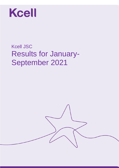

# Kcell JSC Results for January-September 2021

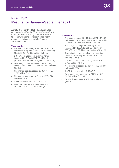### **Kcell JSC Results for January-September 2021**

**Almaty, October 29, 2021** – Kcell Joint Stock Company ("Kcell" or the "Company") (KASE, AIX: KCEL), one of the leading provider of mobile telecommunications services in Kazakhstan, announces its interim results for January-September 2021.

#### **Third quarter**

- Net sales increased by 7.3% to KZT 50 245 million (46 828). Service revenue increased by 12.8% to KZT 40 419 million (35 841).
- EBITDA, excluding non-recurring items, increased by 0.7% to KZT 20 658 million (20 509), with EBITDA margin of 41.1% (43.8).
- Operating income, excluding non-recurring items, increased by 2.1% to KZT 12 874 million (12 611).
- Net finance cost decreased by 35.3% to KZT 1 526 million (2 359).
- Net income increased by 2.2% to KZT 9 326 million (9 124).
- CAPEX-to-sales ratio  $-13.4\%$  (7.5).
- Free cash flow more than doubled and amounted to KZT 17 433 million (8 141).

#### **Nine months**

- Net sales increased by 11.9% to KZT 140 408 million (125 516). Service revenue increased by 11.1% to KZT 114 541 million (103 122).
- EBITDA, excluding non-recurring items, increased by 12.5% to KZT 59 463 million (52 878), with EBITDA margin of 42.4% (42.1).
- Operating income, excluding non-recurring items, increased by 23.2% to KZT 36 244 million (29 418).
- Net finance cost decreased by 20.4% to KZT 5 709 million (7 175).
- Net income increased by 41.3% to KZT 24 953 million (17 662).
- CAPEX-to-sales ratio  $-8.1\%$  (5.7).
- Free cash flow increased by 70.5% to KZT 39 047 million (22 905).
- Total subscriptions 7 957 thousand users (8 040).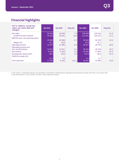## **Financial highlights**

| <b>KZT in millions, except key</b><br>ratios, per share data and<br>changes | Q3 2021 | Q3 2020 | $Chg(\%)$ | 9m 2021 | 9 <sub>m</sub> 2020 | Chg $(%)$ |
|-----------------------------------------------------------------------------|---------|---------|-----------|---------|---------------------|-----------|
| Net sales                                                                   | 50 245  | 46 828  | 7.3       | 140 408 | 125 516             | 11.9      |
| of which service revenue                                                    | 40 419  | 35 841  | 12.8      | 114 541 | 103 122             | 11.1      |
| <b>EBITDA excl. non-recurring items</b>                                     |         |         |           |         |                     |           |
|                                                                             | 20 658  | 20 509  | 0.7       | 59 4 63 | 52 878              | 12.5      |
| Margin (%)                                                                  | 41.1    | 43,8    |           | 42.4    | 42.1                |           |
| Operating income                                                            | 12 874  | 12 0 85 | 6.5       | 36 927  | 28 704              | 28.6      |
| Operating income excl.                                                      |         |         |           |         |                     |           |
| non-recurring items                                                         | 12 874  | 12 611  | 2.1       | 36 244  | 29 4 18             | 23.2      |
| Net income                                                                  | 9 3 2 6 | 9 1 2 4 | 2.2       | 24 953  | 17 662              | 41.3      |
| Earnings per share (KZT)                                                    | 46.6    | 45,6    | 2.2       | 124.8   | 88.3                | 41.3      |
| CAPEX-to-sales (%)                                                          |         |         |           |         |                     |           |
|                                                                             | 13.4    | 7,5     |           | 8.1     | 5.7                 |           |
| Free cash flow                                                              | 17 433  | 8 1 4 1 | 114.1     | 39 047  | 22 905              | 70.5      |

*In this report, comparative figures are provided in parentheses following the operational and financial results and refer to the same item in the third quarter or nine months of 2020, unless otherwise stated.*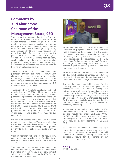# **Comments by Yuri Kharlamov, Chairman of the Management Board, CEO**

"I am pleased to announce that, for the first time in the history of Kcell, the level of revenue for the quarter reached 50 billion tenge. In the third quarter, we maintained a positive trend in the development of our operating and financial indicators. The total revenue grew by 7.3%, service revenue by 12.8%. These indicators form a solid foundation for strengthening our market position in future and achievement of the goals outlined in our five-year development strategy, which includes a three-year transformation program containing a new commercial strategy, optimization of processes and costs as well as building an agile organization.

Thanks to an intense focus on user needs and promotion through our main communication channels, we are seeing growth in the integration of package offerings. We have also started refreshing our subscriber base segmentation and developed a program to increase customer NPS and new marketing campaigns.

The revenue from mobile financial services (MFS) grew by 53% vs. Q3 2020, with the main growth drivers being entertainment, loyalty bonus program and payments on Google Play. More and more customers are now opting for the bundled tariffs offering OTT and value added services. In the third quarter, we launched an attractive line of the OGO Finance products: OGO Bonus, OGO Card and OGO Deposit. The new financial product has been designed to improve the quality of our services and create more value for our customers.

We strive to become more than just a telecom operator for our customers. Today we are leading the market in terms of device sales, but this is not the limit! We have started selling contract phones not only to the Kcell subscribers, but to everyone as well.

Such an approach will enable us to acquire new customers, reach a higher level of profitability as well as increase ARPU, which now stands at 12.3%.

The customer churn rate went down due to the customer base quality improvement measures we have taken in recent years. In addition, contract sales have a positive effect on the LTV (lifetime value) of our customer base.



In B2B segment, we continue to implement bold infrastructure projects: Kcell became the first mobile operator in the country to build a private LTE network. The data obtained showed that we are moving in the right direction – our customers have appreciated the advantages of the LTE technology. Today, as part of the NWF Samruk-Kazyna group, our company is involved in a number of joint projects on private LTE networks and telemetry in the energy sector.

In the third quarter, free cash flow increased by 114.1%, which creates tremendous opportunities in attracting investment in the improvement of infrastructure and technological sophistication.

One of the most remarkable events for the company was the successful completion of a challenging task - 5G network testing. The network is now fully ready for operation, and we will soon start deployment of the fifth generation network to provide 5G coverage in the entire city of Turkestan. This is a truly unprecedented event for Kazakhstan, especially given the fact that the number of customers using 5G devices is constantly increasing.

At the end of September, Kazakhtelecom JSC announced the sale of 24% of shares of Kcell JSC on the Kazakhstan Stock Exchange KASE, 14.87% of which were acquired by Pioneer Technologies S.A.R.L. and 9.08% of the shares were acquired by First Heartland Jusan Bank JSC.

Kcell remains committed to maintaining high standards of corporate governance and best practices in all areas of its activity. We will continue to delivering strong financial and operational results for the benefit of our customers and shareholders."

#### **Almaty**

October 29, 2021

**квартал**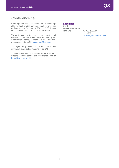### Conference call

Kcell together with Kazakhstan Stock Exchange JSC will host a video conference call for investors and analysts on October 29, 2021 at 15:00 Almaty time. The conference will be held in Russian.

To participate in the event, you must send information (last name, first name and patronymic, organization name, position, e-mail address, questions of interest) to [customers@kase.kz.](mailto:customers@kase.kz)

All registered participants will be sent a link (invitation) to an online meeting in ZOOM.

A presentation will be available on the Company website shortly before the conference call at http[s://investors.kcell.kz](http://www.investors.kcell.kz./en)

### **Enquiries:**

**Kcell Investor Relations** Irina Shol +7 727 2582755

ext. 1002 [Investor\\_relations@kcell.kz](mailto:Investor_relations@kcell.kz)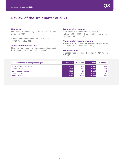### **Review of the 3rd quarter of 2021**

### **Net sales**

Net sales increased by 7.3% to KZT 50 245 million (46 828).

Service revenue increased by 12.8% to KZT 40 419 million (35 841).

### **Voice and other services**

Revenue from voice and other services increased by 10.6% to KZT 20 396 million (18 448).

### **Data service revenue**

Data revenue increased by 14.3% to KZT 17 416 million (15 239). Data traffic grew by 38.8% to 154 PB (111.0).

#### **Value-added service revenue**

Revenue from value-added services increased by 21.0% to KZT 2 606 million (2 153).

#### **Handset sales**

Handset sales decreased to KZT 9 827 million (10 987).

| <b>KZT</b> in millions, except percentages | Q3 2021 | % of total | Q3 2020 | % of total |
|--------------------------------------------|---------|------------|---------|------------|
| Voice and other services                   | 20 39 6 | 40.6       | 18 448  | 39.4       |
| Data services                              | 17416   | 34.7       | 15 239  | 32.5       |
| Value added services                       | 2 606   | 5.2        | 2 1 5 3 | 4.6        |
| Handset sales                              | 9827    | 19.6       | 10 987  | 23.5       |
| <b>Total revenues</b>                      | 50 245  | 100.0      | 46 828  | 100.0      |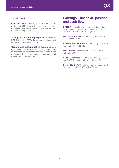### **Expenses**

**Cost of sales** grew by 6.6% to KZT 32 681 million (30 664), largely due to increased payroll expenses, telephone traffic transmission and network sharing costs.

**Selling and marketing expenses** doubled to KZT 749 million (356), largely due to increased advertising and marketing costs.

**General and administrative expenses** grew by 50.6% to KZT 3 690 million (2 451), largely due to expenses on consulting services related to the development of commercial strategy and transformation programme.

### **Earnings, financial position and cash flow**

**EBITDA**, excluding non-recurring items, increased by 0.7% to KZT 20 658 million (20 509), with EBITDA margin of 41.1% (43.8).

**Net finance cost** decreased by 35.3% to KZT 1 526 million (2 359).

**Income tax expense** increased by 22.5% to KZT 1 987 million (1 622).

**Net income** increased by 2.2% to KZT 9 326 million (9 124).

**CAPEX** increased to KZT 6 737 million (3 522), and CAPEX-to-sales ratio was 13.4% (7.5).

**Free cash flow** more than doubled and amounted to KZT 17 433 million (8 141).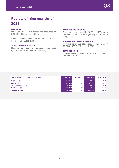# **Review of nine months of 2021**

### **Net sales**

Net sales were 11.9% higher and amounted to KZT 140 408 million (125 516).

Service revenue increased by 11.1% to KZT 114 541 million (103 122).

#### **Voice and other services**

Revenue from voice and other services increased by 5.3% to KZT 57 766 million (54 835).

### **Data service revenue**

Data revenue increased by 16.6% to KZT 49 850 million (42 759). Data traffic grew by 44.4% to 456 PB (315.5).

### **Value-added service revenue**

Revenue from value-added services increased by 25.3% to KZT 6 926 million (5 528).

#### **Handset sales**

Handset sales increased by 15.5% to KZT 25 867 million (22 394).

| <b>KZT</b> in millions, except percentages | 9m 2021 | % of total | 9m 2020 | % of total |
|--------------------------------------------|---------|------------|---------|------------|
| Voice and other services                   | 57 766  | 41.1       | 54 835  | 43.7       |
| Data services                              | 49 850  | 35.5       | 42 759  | 34.1       |
| Value added services                       | 6926    | 4.9        | 5 5 2 8 | 4.4        |
| Handset sales                              | 25 867  | 18.4       | 22 3 94 | 17.8       |
| <b>Total revenues</b>                      | 140 408 | 100.0      | 125 516 | 100.0      |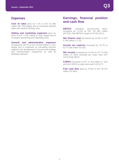### **Expenses**

**Cost of sales** grew by 7.1% to KZT 91 860 million (85 749) largely due to increased handset sales and network sharing costs.

**Selling and marketing expenses** grew by 8.8% to KZT 1 542 million (1 418), largely due to increased advertising and marketing costs.

**General and administrative expenses** increased by 48.7% to KZT 10 619 million (7 141), largely due to expenses on consulting services related to the development of commercial strategy and transformation programme as well as delisting expenses.

### **Earnings, financial position and cash flow**

**EBITDA**, excluding non-recurring items, increased by 12.5% to KZT 59 463 million (52 878), with EBITDA margin of 42.4% (42.1).

**Net finance cost** decreased by 20.4% to KZT 5 709 million (7 175).

**Income tax expense** increased by 16.7% to KZT 6 556 million (5 616).

**Net income** increased by 41.3% to KZT 24 953 million (17 662). Earnings per share were KZT 124.8 tenge (88.3).

**CAPEX** increased to KZT 11 423 million (7 191) and the CAPEX-to-sales ratio was 8.1% (5.7).

**Free cash flow** grew by 70.5% to KZT 39 047 million (22 905).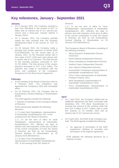## **Key milestones, January - September 2021**

### **January**

- On 6 January 2021, the Company received a loan from Alfa-Bank in the amount of KZT 12 billion with an interest rate of 10.7 percent per annum and a three-year maturity (before 5 January 2024).
- On 8 January 2021, the Company partially repaid the loan received from the Eurasian Development Bank in the amount of KZT 12 billion.
- On 26 January 2021, the Company made a principal and coupon payment on bonds (ISIN KZ2C00004208). On the record date of 15 January 2021, 21,754 thousand bonds with a face value of KZT 1,000 each were placed with a coupon rate of 11.5 percent. The total amount of the principal payment amounted to KZT 21,754 million. The total amount of the coupon payment amounted to KZT 1,251 million. The payment was made in accordance with the terms and conditions of the Company's Prospectus for the Bond Issue Programme.

### **February**

- At the meeting of the Board of Directors held on 6 February 2021, Yuri Kharlamov was appointed the Company's CEO with immediate effect.
- On 26 February 2021, the Company had its Extraordinary General Meeting of Shareholders (EGM).

The EGM agenda included the following:

1. Election of members of the Company's Board of Directors.

EGM unanimously adopted the following decisions:

1.1 To elect Serik Saudabayev, representative of shareholder Kazakhtelecom JSC, to the existing Kcell JSC Board of Directors.

1.1.1 To set the term of office for Serik Saudabayev, representative of shareholder Kazakhtelecom JSC, effective the date of election and until expiration of the term of office of the current composition of Kcell JSC Board of Directors set forth by the Extraordinary General Meeting of Shareholders on 25 January 2019 (Minutes#12).

1.2 To elect Timur Khudaiberdiyev, representative of shareholder Kazakhtelecom JSC, to the existing Kcell JSC Board of

Directors.

1.2.1 To set the term of office for Timur Khudaiberdiyev, representative of shareholder Kazakhtelecom JSC, effective the date of election and until expiration of the term of office of the current composition of Kcell JSC Board of Directors set forth by the Extraordinary General Meeting of Shareholders on 25 January 2019 (Minutes#12).

The Company's Board of Directors consisting of the following members:

- o Alexey Buyanov (Independent Director, Chairman);
- o Rashit Makhat (Independent Director);
- o Dinara Inkarbekova (Independent Director);
- o Vladimir Popov (Independent Director);
- o Jere Calmes (Independent Director);
- o Kuanyshbek Yessekeyev (representative of shareholder Kazakhtelecom JSC);
- o Timur Turlov (representative of shareholder Freedom Finance JSC);
- o Serik Saudabayev (representative of shareholder Kazakhtelecom JSC);
- o Timur Khudaiberdiyev (representative of shareholder Kazakhtelecom JSC).

### **April**

- On 1 April 2021, the Company notified that an additional agreement has been concluded with Subsidiary JSC VTB Bank (Kazakhstan) to increase the amount of the existing credit line from KZT 6 billion to KZT 7 billion, with a credit line maturity on 15 October 2023 and an interest rate of 10.7 percent per annum.
- On 9 April 2021, the EGM of the Company was held. The EGM agenda included the following:
	- 1. On approval of termination of the GDR programme, delisting of securities and termination of the Deposit Agreement.

EGM adopted the following decisions by a majority of votes: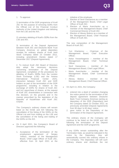### 1. To approve:

1) termination of the GDR programme of Kcell JSC for the purpose of removing GDRs from the Official List of the Financial Conduct Authority of the United Kingdom and delisting from the LSE and the AIX;

2) voluntary delisting of Kcell's GDRs from the LSE and AIX;

3) termination of the Deposit Agreement between Kcell JSC and Deutsche Bank Trust Company Americas on global depositary receipts for ordinary shares of Kcell Joint Stock Company dated 23 October 2012, including amendment thereto dated 17 December 2017 (Deposit Agreement).

2. To instruct Kcell JSC Board of Directors duly adopt the necessary decisions concerning termination of the Deposit Agreement, completion of the procedures for delisting of Kcell's GDRs from the London Stock Exchange (LSE) and the Astana International Financial Center (AIX), interaction between Kcell JSC and GDR holders as part of the termination of the GDR programme, including in relation to the exchange of GDRs for shares of Kcell JSC and (or) repurchase of shares, at the request of Kcell JSC shareholders in connection with this decision, on the grounds and in the manner prescribed by the legislation of the Republic of Kazakhstan and Kcell JSC Charter.

The Company's ordinary shares will remain listed on the KASE and AIX following the cancellation of the listing of the GDRs on the Official List and from trading on the LSE and the cancellation of the listing and trading of the GDRs on the AIX.

- On 9 April 2021, the Company's Board of Directors approved the following:
	- 1. Acceptance of the termination of the employment agreement of Sergey Yeltsov, member of the Management Board, Chief Legal Officer of Kcell JSC, effective from 16 April 2021 at the

initiative of the employee.

- 2. Election of Sevil Gassanova as a member of the Management Board, Chief Legal Officer of Kcell JSC.
- 3. Election of Maria Averchenko as a member of the Management Board, Chief Commercial Director of Kcell JSC.
- 4. Election of Alexey Bobrov as a member of the Management Board, Chief Financial Officer of Kcell JSC.

The new composition of the Management Board of Kcell JSC:

- o Yuri Kharlamov Chairman of the Management Board, Chief Executive Officer;
- o Askar Yesserkegenov member of the Management Board, Chief Technical Officer;
- Sevil Gassanova member of the Management Board, Chief Legal Officer;
- o Maria Averchenko member of the Management Board, Chief Commercial Officer;
- o Alexey Bobrov member of the Management Board, Chief Financial Officer.
- On April 13, 2021, the Company:
	- 1. entered into a deed of variation changing the notice period for the termination of the deposit agreement between Deutsche Bank Trust Company Americas (acting as depositary of the GDR (Depositary) and the Company dated 23 October 2012, as previously amended (Deposit Agreement) from 90 days' to 60 days' notice;
	- 2. gave notice to the Depositary of the termination of the Deposit Agreement.

The ordinary shares of the Company will continue to be listed on the KASE and AIX following the termination of the Deposit Agreement and the GDR programme.

If any GDRs remain outstanding after the Termination Date, as would be indicated in the notice by the Depositary, they will automatically convert into ordinary shares in the Company. The Depositary will sell such ordinary shares and distribute the net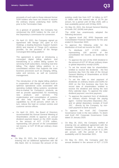proceeds of such sale to those relevant former GDR holders who have not chosen to receive the ordinary shares underlying their GDRs prior to the Termination Date.

As a gesture of goodwill, the Company has reimbursed the GDR holders for the cost of the Depositary's commission for conversion.

 On April 13, 2021, the Company signed an agreement with Nexign JSC (part of ICS Holding), a leading Business Support System (BSS) and Internet of Things (IoT) solutions provider, for the provision of the Nexign Converged BSS billing platform

The agreement is aimed at introducing a converged digital billing platform and transitioning to a unified billing system for servicing Kcell subscribers, including real time billing. The digital billing platform is a consolidated solution that supports the main business processes such as charging, billing, sales and services, as well as customer management.

The introduction of the digital billing platform in cooperation with Nexign will allow Kcell to optimise operational costs associated with operating multiple billing systems, accelerate time-to-market for Company's products, as well as provide opportunities for monetising<br>new products and services. The new products and services. The modernisation and consolidation of systems will also help expand the self-service capabilities by 20-30 percent, which will, in turn, reduce the load on contact centres and customer service offices.

 On April 15, 2021, the Board of Directors recommended the Annual General Meeting of Shareholders (AGM) to approve an annual dividend payment based on the 2020 results in the amount of KZT 17,578 million, representing 100 percent of the consolidated net income, or KZT 87.89 per ordinary share or GDR

### **May**

 On May 20, 2021, the Company notified of entering into an additional agreement with SB Alfa Bank JSC to increase the amount of the

existing credit line from KZT 14 billion to KZT 21 billion with the interest rate of 10.7% per annum, for a period until 19 May 2026, with a loan availability period until 19 May 2025.

- On May 24, 2021, the Annual General Meeting of Kcells JSC (AGM) took place. The AGM has unanimously adopted the following decisions:
- To approve Kcell JSC IFRS Separate and Consolidated Financial Statements for the year ended 31 December 2020.
- To approve the following order for the distribution of Kcell net income for 2020:
	- o To distribute KZT 17,578 million, representing 100 percent of the consolidated net income, as dividends for 2020.
	- o To approve the size of the 2020 dividend in the amount of KZT 87.89 per ordinary share or global depository receipt (GDR) .
	- o To set the record date for shareholders entitled to receive the dividends - the first business day from the date of the Annual General Meeting of Shareholders at 00:00 AM Almaty time.
	- o To set the date to start payment of dividends on ordinary shares and GDRs for 2020 on the first business day from the record date of shareholders entitled to receive the dividend and during the next thirty calendar days. To approve the order dividend payment: one-time payment.
	- o To approve the payment form of dividends on ordinary shares through the paying agent - Central Securities Depository JSC, and on global depositary receipts of Kcell JSC - directly by the Company, by noncash payment to bank account.
- To approve the Kcell JSC Corporate Governance Code in the new edition. To deem void Kcell JSC Corporate Governance Code dated 15 January 2020.
- On May 26, 2021, the Company notified of entering into an additional agreement with the Eurasian Development Bank to reduce the interest rate from 11.5% per annum to 11.19% per annum, with the period of the loan availability until 31 December 2021.
- On May 31, 2021, the Company paid the annual dividend in the amount of KZT 17,578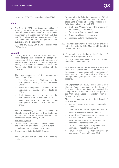million, or KZT 87.89 per ordinary share/GDR.

### **June**

- On June 3, 2021, the Company notified of entering into an additional agreement with SB Bank of China in Kazakhstan JSC to increase the amount of the credit line from KZT 11 billion to KZT 13 billion, with an interest rate of 10.3% per annum and the term and period of loan availability until 1 June 2024.
- On June 14, 2021, GDRs were delisted from LSE and AIX.

### **August**

 On August 4, 2021, the Board of Directors of Kcell adopted the decision to accept the termination of the employment agreement of Alexey Bobrov, member of the Management Board, Chief Financial Officer, effective from August 20, 2021 at the initiative of the employee.

The new composition of the Management Board of Kcell JSC:

- o Yuri Kharlamov Chairman of the Management Board, Chief Executive Officer;
- o Askar Yesserkegenov member of the Management Board, Chief Technical Officer;
- o Sevil Gassanova member of the Management Board, Chief Legal Officer;
- o Maria Averchenko member of the Management Board, Chief Commercial Officer;
- The Extraordinary General Meeting of Shareholders of Kcell was held on September 23, 2021, at 11.00 at the following address: 51, Alimzhanov street, Almaty (EGM).

### The EGM agenda:

- Determination of the quantitative composition and term of the office for Kcell JSC Counting commission and election of its members.
- On amendments to Kcell JSC Charter.

The EGM unanimously adopted the following decisions:

- 1. To determine the following composition of Kcell JSC Counting Commission with the term of office until 1 September 2022, including the following employees of Kcell JSC:
	- Shol Irina Vladimirovna- Chairwoman of the Counting Commission;
	- o Timurziyeva Aza Nazhmudinovna;
	- o Bratenkova Diana Alexandrovna;
	- o Logdanidi Yelena Yevstafievna.
- 2.1. To amend the Charter of Kcell JSC as provided in the Exhibit to the EGM Minutes #19 dated 23 September 2021.
- 2.2. To authorize Yuri Kharlamov, the Chairman of Kcell JSC Management Board:

1) to sign the amendments to Kcell JSC Charter of on behalf of shareholders;

2) to ensure that all the necessary actions are taken in the judicial bodies of the Republic of Kazakhstan in connection with introduction of amendments to the Charter of Kcell JSC, with the right to delegate granted authorities to other persons.

 On September 24, 2021, Rashit Makhat and Vladimir Popov, members of the Board of Directors, Independent Directors, notified the Company about their intention to resign from the Company's Board of Directors from 21 September 2021.

The acting Members of the Kcell Board of Directors are:

- o Alexey Buyanov Chairman, Independent Director;
- o Dinara Inkarbekova Independent Director;
- o Jere Calmes Independent Director;
- o Kuanyshbek Yessekeyev a representative of shareholder Kazakhtelecom JSC;
- o Serik Saudabayev a representative of shareholder Kazakhtelecom JSC;
- o Timur Khudaiberdiyev a representative of shareholder Kazakhtelecom JSC;
- o Timur Turlov a representative of shareholder Freedom Finance JSC.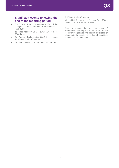### **Significant events following the end of the reporting period**

- On October 5, 2021, Company notified of the changes in the composition of shareholdersof Kcell JSC:
- 1) Kazakhtelecom JSC owns 51% of Kcell JSC shares
- 2) Pioneer Technologies S.A.R.L owns 14,87% of Kcell JSC shares
- 3) First Heartland Jusan Bank JSC owns

9,08% of Kcell JSC shares

4) Unified Accumulative Pension Fund JSC – owns 7,06% of Kcell JSC shares.

Date of change in the composition of shareholders owning 5 or more percent of the issuer's voting shares (the date of registration of changes in the register of holders of securities) is the 4th of October 2021.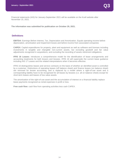Financial statements (IAS) for January-September 2021 will be available on the Kcell website after November 15, 2021.

**The information was submitted for publication on October 29, 2021.**

### **Definitions**

**EBITDA:** Earnings Before Interest, Tax, Depreciation and Amortization. Equals operating income before depreciation, amortization and impairment losses and before income from associated companies

**CAPEX:** Capital expenditures for property, plant and equipment as well as software and licenses including investments in tangible and intangible non-current assets, but excluding goodwill and fair value adjustments recognized in acquisitions, and excluding the recording of assets retirement obligations.

**IFRS 16 Leases:** introduces a comprehensive model for the identification of lease arrangements and accounting treatments for both lessors and lessees. IFRS 16 will supersede the current lease guidance including IAS 17 Leases and the related interpretations when it becomes effective.

IFRS 16 distinguishes leases and service contracts on the basis of whether an identified asset is controlled by a customer. Distinctions of operating leases (off balance sheet) and finance leases (on balance sheet) are removed for lessee accounting, and is replaced by a model where a right-of-use asset and a corresponding liability have to be recognised for all leases by lessees (i.e. all on balance sheet) except for short-term leases and leases of low value assets.

The amortization of the right-of-use asset and the accumulation of interest on a financial liability replace lease payments recognized as rental expenses in profit or loss.

 **Free cash flow:** cash flow from operating activities less cash CAPEX.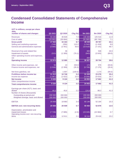# **Condensed Consolidated Statements of Comprehensive Income**

| <b>KZT</b> in millions, except per share<br>data,   |         |         |            |         |         |            |
|-----------------------------------------------------|---------|---------|------------|---------|---------|------------|
| number of shares and changes                        | Q3 2021 | Q3 2020 | Chg $(\%)$ | 9m 2021 | 9m 2020 | Chg $(\%)$ |
| <b>Revenues</b>                                     | 50 245  | 46 828  | 7.3        | 140 408 | 125 516 | 11.9       |
| Cost of sales                                       | (32681) | (30664) | 6.6        | (91860) | (85749) | 7.1        |
| <b>Gross profit</b>                                 | 17 5 64 | 16 164  | 8.7        | 48 548  | 39 767  | 22.1       |
| Selling and marketing expenses                      | (749)   | (356)   | 110.2      | (1542)  | (1418)  | 8.8        |
| General and administrative expenses                 | (3690)  | (2451)  | 50.6       | (10619) | (7141)  | 48.7       |
| Reversal of tax and related fine                    |         | 36      |            | 683     | 538     | 26.9       |
| Impairment of assets                                | (313)   | (1309)  | (76.1)     | (943)   | (3043)  | (69.0)     |
| Other operating income and expenses,<br>net         | 62      |         |            | 800     |         |            |
| <b>Operating income</b>                             | 12 874  | 12 085  | 6.5        | 36 927  | 28 704  | 28.6       |
|                                                     |         |         |            |         |         |            |
| Other income and expenses, net                      | 56      | 13      | 330.8      | 174     | 576     | (69.8)     |
| Finance income and expenses, net                    | (1526)  | (2359)  | (35.3)     | (5709)  | (7175)  | (20.4)     |
| Net forex gain/loss, net                            | (91)    | 1 0 0 7 | (109.0)    | 117     | 1 173   | (90.0)     |
| Profit/loss before income tax                       | 11 313  | 10746   | 5.3        | 31 509  | 23 278  | 35.4       |
| Income tax expense                                  | (1987)  | (1622)  | 22.5       | (6556)  | (5616)  | 16.7       |
| <b>Net income</b>                                   | 9 3 2 6 | 9 1 2 4 | 2.2        | 24 953  | 17 662  | 41.3       |
| Other comprehensive income                          |         |         |            |         |         |            |
| <b>Total comprehensive income</b>                   | 9 3 2 6 | 9 1 2 4 | 2.2        | 24 953  | 17 662  | 41.3       |
| Earnings per share (KZT), basic and<br>diluted      | 46,6    | 45,6    | 2.2        | 124,8   | 88,3    | 41.3       |
| Number of shares (thousands)                        |         |         |            |         |         |            |
| Outstanding at period-end                           | 200 000 | 200 000 |            | 200 000 | 200 000 |            |
| Weighted average, basic and diluted                 | 200 000 | 200 000 |            | 200 000 | 200 000 |            |
| <b>EBITDA</b>                                       | 20 658  | 19 983  | 3.4        | 60 146  | 52 164  | 15.3       |
| <b>EBITDA excl. non-recurring items</b>             | 20 658  | 20 509  | 0.7        | 59 463  | 52 878  | $12.5$     |
| Depreciation, amortization and<br>impairment losses | (7728)  | (7885)  | (2.0)      | (23045) | (22884) | 0.7        |
| Operating income excl. non-recurring<br>items       | 12 874  | 12 611  | 2.1        | 36 244  | 29 4 18 | 23.2       |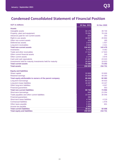# **Condensed Consolidated Statement of Financial Position**

| <b>KZT</b> in millions                                      | 30 Sep 2021 | 31 Dec 2020 |
|-------------------------------------------------------------|-------------|-------------|
| <b>Assets</b>                                               |             |             |
| Intangible assets                                           | 34 175      | 39 730      |
| Property, plant and equipment                               | 75 291      | 78 109      |
| Advances paid for non-current assets                        | 825         | 293         |
| Right to use assets                                         | 18 067      | 20 804      |
| Other non-current assets                                    | 459         | 185         |
| Deferred tax assets                                         | 2678        | 1 9 3 7     |
| Long-term receivables                                       | 2 9 2 6     | 2 4 2 1     |
| <b>Total non-current assets</b>                             | 134 421     | 143 479     |
| Inventories                                                 | 5 4 3 2     | 9 3 6 2     |
| Trade and other receivables                                 | 17412       | 17823       |
| Other current financial assets                              | 994         | 245         |
| Other current assets                                        | 2 1 7 0     | 3876        |
| Cash and cash equivalents                                   | 21 487      | 23 023      |
| Investments held for maturity Investments held for maturity | 26 893      | 18 923      |
| <b>Total current assets</b>                                 | 74 388      | 73 252      |
| <b>Total assets</b>                                         | 208 809     | 216 731     |
| <b>Equity and liabilities</b>                               |             |             |
| Share capital                                               | 33 800      | 33 800      |
| <b>Retained earnings</b>                                    | 55 658      | 48 283      |
| Total equity attributable to owners of the parent company   | 89 458      | 82 083      |
| Long-term borrowings                                        | 60 212      | 49 933      |
| Long-term lease liabilities                                 | 16 397      | 19 447      |
| Other long-term liabilities                                 | 4 1 2 1     | 4 0 0 7     |
| <b>Financial guarantees</b>                                 |             | 563         |
| <b>Total non-current liabilities</b>                        | 80 730      | 73 950      |
| Short-term borrowings                                       | 845         | 23 3 54     |
| Trade payables and other current liabilities                | 22 094      | 30 546      |
| <b>Financial guarantees</b>                                 | 380         |             |
| Short-term lease liabilities                                | 4795        | 4 2 1 9     |
| <b>Contractual liabilities</b>                              | 2 2 9 7     | 1978        |
| Other taxes payable                                         | 5 3 0 5     | 601         |
| Income tax payable                                          | 2 9 0 5     |             |
| <b>Total current liabilities</b>                            | 38 621      | 60 698      |
| <b>Total equity and liabilities</b>                         | 208 809     | 216 731     |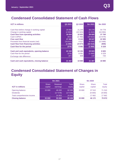# **Condensed Consolidated Statement of Cash Flows**

| <b>KZT</b> in millions                     | Q3 2021   | Q3 2020 | 9m 2021 | 9m 2020 |
|--------------------------------------------|-----------|---------|---------|---------|
|                                            |           |         |         |         |
| Cash flow before change in working capital | 20 956    | 21,244  | 60 279  | 54 778  |
| Change in working capital                  | (2902)    | (10323) | (1610)  | (16994) |
| <b>Cash flow from operating activities</b> | 18 054    | 10 921  | 58 669  | 37 784  |
| Cash CAPEX                                 | (621)     | (2780)  | (19622) | (14879) |
| <b>Free cash flow</b>                      | 17 433    | 8 1 4 1 | 39 047  | 22 905  |
| Proceeds from financial assets (net)       | (16, 912) | 4 5 1 7 | (8 200) | (12668) |
| <b>Cash flow from financing activities</b> | (1 099)   | (4577)  | (32513) | (908)   |
| Cash flow for the period                   | (578)     | 8 0 8 1 | (1666)  | 9 3 2 9 |
| Cash and cash equivalents, opening balance | 22 152    | 10 191  | 23 0 23 | 8825    |
| Cash flow for the period                   | (578)     | 8 0 8 1 | (1666)  | 9 3 2 9 |
|                                            | (87)      | 608     | 130     | 726     |
| Exchange rate difference                   |           |         |         |         |
| Cash and cash equivalents, closing balance | 21 487    | 18880   | 21 487  | 18880   |

# **Condensed Consolidated Statement of Changes in Equity**

|                            | 9m 2021                 |                      |                 | 9m 2020                 |                         |                        |  |
|----------------------------|-------------------------|----------------------|-----------------|-------------------------|-------------------------|------------------------|--|
| <b>KZT</b> in millions     | <b>Share</b><br>capital | Retained<br>earnings | Total<br>equity | <b>Share</b><br>capital | <b>Share</b><br>capital | <b>Total</b><br>equity |  |
| Opening balance            | 33 800                  | 48 283               | 82 083          | 33 800                  | 37 510                  | 71 310                 |  |
| <b>Dividends</b>           | ÷                       | (17578)              | (17578)         | ٠                       | (9 000)                 | (9 000)                |  |
| Total comprehensive income | ÷                       | 24 953               | 24 953          | ٠                       | 17 662                  | 17 662                 |  |
| <b>Closing balance</b>     | 33 800                  | 55 658               | 89 458          | 33 800                  | 46 172                  | 79 972                 |  |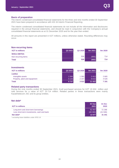#### **Basis of preparation**

The interim condensed consolidated financial statements for the three and nine months ended 30 September 2021 have been prepared in accordance with IAS 34 Interim Financial Reporting.

The interim condensed consolidated financial statements do not include all the information and disclosures required in the annual financial statements, and should be read in conjunction with the Company's annual consolidated financial statements as at 31 December 2020 and for the year then ended.

All amounts in this report are presented in KZT millions, unless otherwise stated. Rounding differences may occur.

| <b>Non-recurring items</b> |         |         |        |         |
|----------------------------|---------|---------|--------|---------|
| <b>KZT</b> in millions     | Q3 2021 | Q3 2020 | 9m2021 | 9m 2020 |
| <b>Within EBITDA</b>       |         |         |        |         |
| Non-recurring items        |         | 526     | (683)  | 714     |
| <b>Total</b>               |         | 526     | (683)  | 714     |

### **Investments**

| <b>KZT</b> in millions        | Q3 2021 | Q3 2020   | 9m 2021 | 9m 2020 |
|-------------------------------|---------|-----------|---------|---------|
| <b>CAPEX</b>                  |         |           |         |         |
| Intangible assets             | 1 594   | 1 3 6 5 1 | 2413    | 2665    |
| Property, plant and equipment | 5143    | 2 157     | 9010    | 4 5 2 6 |
| Total                         | 6737    | 3522      | 11 4 23 | 7 191   |

### **Related party transactions**

During the nine months ended 30 September 2021, Kcell purchased services for KZT 19 604 million and sold services for a value of KZT 10 714 million. Related parties in these transactions were mainly Kazakhtelecom JSC and its group entities.

### **Net debt\***

| <b>KZT</b> in millions                                                            | 30 Sep<br>2021      | 31 Dec<br>2020    |
|-----------------------------------------------------------------------------------|---------------------|-------------------|
| Long-term and short-term borrowings<br>Less short-term investments, cash and bank | 61 057<br>(48, 380) | 72 288<br>(41946) |
| Net debt <sup>*</sup>                                                             | 12 677              | 31 341            |

*\* excluding lease liabilities under IFRS 16*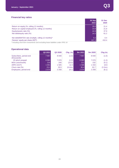### **Financial key ratios**

|                                                     | <b>30 Sep</b><br>2021 | 31 Dec<br>2020 |
|-----------------------------------------------------|-----------------------|----------------|
| Return on equity (%, rolling 12 months)             | 29.0                  | 21.4           |
| Return on capital employed (%, rolling 12 months)   | 23.9                  | 21.8           |
| Equity/assets ratio (%)                             | 42.8                  | 37.9           |
| Net debt/equity ratio (%)                           | 14.2                  | 61.2           |
| Net debt/EBITDA rate (multiple, rolling 12 months)* | 0.2                   | $0.4^{\circ}$  |
| Owners' equity per share (KZT)                      | 447.3                 | 410.4          |

*\* Including short-term investments and excluding lease liabilities under IFRS 16*

### **Operational data**

| $5001$ att $511$ ar aata               |         |         |                   |         |         |            |
|----------------------------------------|---------|---------|-------------------|---------|---------|------------|
|                                        | Q3 2021 | Q3 2020 | $Chg$ (%)         | 9m 2021 | 9m 2020 | $Chg$ $%$  |
| Subscribers, period-end<br>(thousands) | 7 9 5 7 | 8 0 4 0 | (1.0)             | 7957    | 8 0 4 0 | (1.0)      |
| Of which prepaid                       | 6983    | 7070    | (1.2)             | 6983    | 7070    | (1.2)      |
| MOU (min/month)                        | 216     | 240     | (10.0)            | 211     | 232     | (9.1)      |
| ARPU (KZT)                             | 1691    | 1 505   | 12.3              | 1586    | 1434    | 10.6       |
| Churn rate (%)                         | 23,1    | 29,5    | $(6.4 \text{nn})$ | 30,4    | 33,7    | $(3.3\pi)$ |
| Employees, period-end                  | 2 0 7 4 | 2 2 5 8 | (8.1)             | 2 0 7 4 | 2 2 5 8 | (8.1)      |